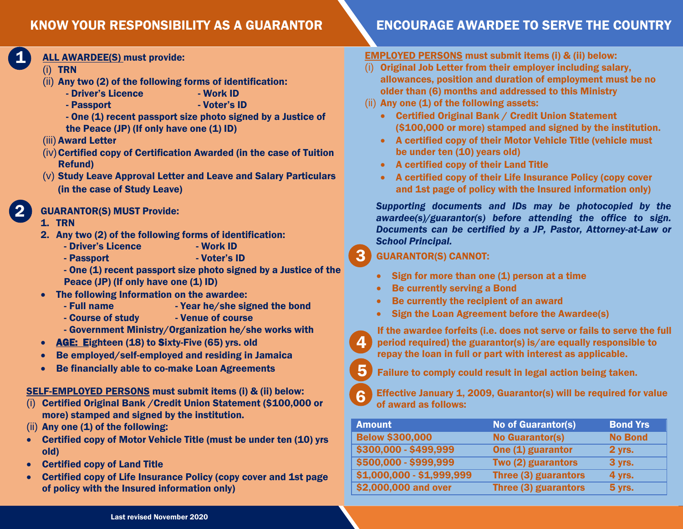#### KNOW YOUR RESPONSIBILITY AS A GUARANTOR

#### ALL AWARDEE(S) must provide:

(i) TRN

1

2

- (ii) Any two (2) of the following forms of identification:
	- Driver's Licence Work ID
	- Passport  **Voter's ID**
	- One (1) recent passport size photo signed by a Justice of the Peace (JP) (If only have one (1) ID)
- (iii) Award Letter
- $(iv)$  Certified copy of Certification Awarded (in the case of Tuition Refund)
- (v) Study Leave Approval Letter and Leave and Salary Particulars (in the case of Study Leave)

#### GUARANTOR(S) MUST Provide:

- 1. TRN
- 2. Any two (2) of the following forms of identification:
	- Driver's Licence Work ID
	- Passport  **Voter's ID**
	- One (1) recent passport size photo signed by a Justice of the Peace (JP) (If only have one (1) ID)
- The following Information on the awardee:
	- Full name  $-$  Year he/she signed the bond
	- Course of study  **Venue of course**
	- Government Ministry/Organization he/she works with
- AGE: Eighteen (18) to Sixty-Five (65) yrs. old
- Be employed/self-employed and residing in Jamaica
- Be financially able to co-make Loan Agreements

#### SELF-EMPLOYED PERSONS must submit items (i) & (ii) below:

- (i) Certified Original Bank /Credit Union Statement (\$100,000 or more) stamped and signed by the institution.
- $(iii)$  Any one  $(1)$  of the following:
- Certified copy of Motor Vehicle Title (must be under ten (10) yrs old)
- Certified copy of Land Title
- Certified copy of Life Insurance Policy (copy cover and 1st page of policy with the Insured information only)

## ENCOURAGE AWARDEE TO SERVE THE COUNTRY

#### EMPLOYED PERSONS must submit items (i) & (ii) below:

- (i) Original Job Letter from their employer including salary, allowances, position and duration of employment must be no older than (6) months and addressed to this Ministry
- $(ii)$  Any one  $(1)$  of the following assets:
	- Certified Original Bank / Credit Union Statement (\$100,000 or more) stamped and signed by the institution.
	- A certified copy of their Motor Vehicle Title (vehicle must be under ten (10) years old)
	- A certified copy of their Land Title
	- A certified copy of their Life Insurance Policy (copy cover and 1st page of policy with the Insured information only)

*Supporting documents and IDs may be photocopied by the awardee(s)/guarantor(s) before attending the office to sign. Documents can be certified by a JP, Pastor, Attorney-at-Law or School Principal.*

#### GUARANTOR(S) CANNOT:

- $\bullet$  Sign for more than one (1) person at a time
- Be currently serving a Bond
- Be currently the recipient of an award
- Sign the Loan Agreement before the Awardee(s)



5

Failure to comply could result in legal action being taken.



4

3

Effective January 1, 2009, Guarantor(s) will be required for value of award as follows:

| <b>Amount</b>             | <b>No of Guarantor(s)</b> | <b>Bond Yrs</b> |
|---------------------------|---------------------------|-----------------|
| <b>Below \$300,000</b>    | <b>No Guarantor(s)</b>    | <b>No Bond</b>  |
| \$300,000 - \$499,999     | One (1) guarantor         | 2 yrs.          |
| \$500,000 - \$999,999     | Two (2) guarantors        | <b>3 yrs.</b>   |
| \$1,000,000 - \$1,999,999 | Three (3) guarantors      | 4 yrs.          |
| \$2,000,000 and over      | Three (3) guarantors      | <b>5 yrs.</b>   |